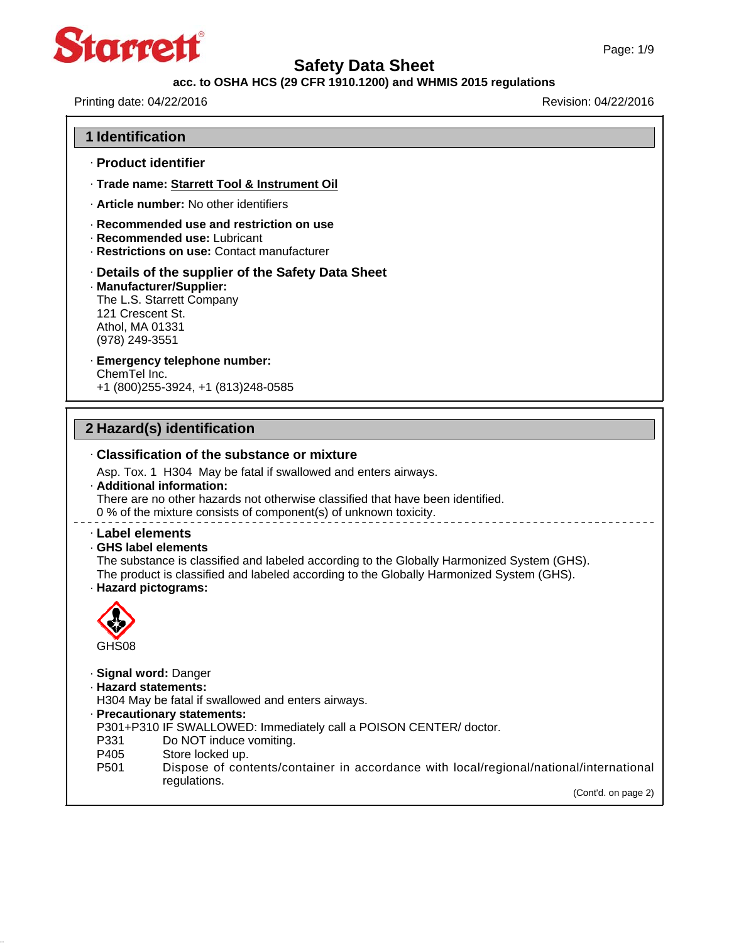

### **acc. to OSHA HCS (29 CFR 1910.1200) and WHMIS 2015 regulations**

Printing date: 04/22/2016 **Revision: 04/22/2016** 

| 1 Identification                                      |                                                                                                                                                                                                                                      |
|-------------------------------------------------------|--------------------------------------------------------------------------------------------------------------------------------------------------------------------------------------------------------------------------------------|
|                                                       | · Product identifier                                                                                                                                                                                                                 |
|                                                       | · Trade name: Starrett Tool & Instrument Oil                                                                                                                                                                                         |
|                                                       | . Article number: No other identifiers                                                                                                                                                                                               |
|                                                       | Recommended use and restriction on use<br>· Recommended use: Lubricant<br>· Restrictions on use: Contact manufacturer                                                                                                                |
| 121 Crescent St.<br>Athol, MA 01331<br>(978) 249-3551 | Details of the supplier of the Safety Data Sheet<br>· Manufacturer/Supplier:<br>The L.S. Starrett Company                                                                                                                            |
| ChemTel Inc.                                          | · Emergency telephone number:<br>+1 (800) 255-3924, +1 (813) 248-0585                                                                                                                                                                |
|                                                       |                                                                                                                                                                                                                                      |
|                                                       |                                                                                                                                                                                                                                      |
|                                                       | 2 Hazard(s) identification                                                                                                                                                                                                           |
|                                                       | ⋅ Classification of the substance or mixture                                                                                                                                                                                         |
|                                                       | Asp. Tox. 1 H304 May be fatal if swallowed and enters airways.<br>· Additional information:<br>There are no other hazards not otherwise classified that have been identified.                                                        |
|                                                       | 0 % of the mixture consists of component(s) of unknown toxicity.                                                                                                                                                                     |
|                                                       | GHS label elements<br>The substance is classified and labeled according to the Globally Harmonized System (GHS).<br>The product is classified and labeled according to the Globally Harmonized System (GHS).<br>· Hazard pictograms: |
|                                                       |                                                                                                                                                                                                                                      |
| GHS08                                                 |                                                                                                                                                                                                                                      |
| · Label elements<br>P331                              | · Signal word: Danger<br>· Hazard statements:<br>H304 May be fatal if swallowed and enters airways.<br>· Precautionary statements:<br>P301+P310 IF SWALLOWED: Immediately call a POISON CENTER/doctor.<br>Do NOT induce vomiting.    |
| P405<br>P <sub>501</sub>                              | Store locked up.<br>Dispose of contents/container in accordance with local/regional/national/international                                                                                                                           |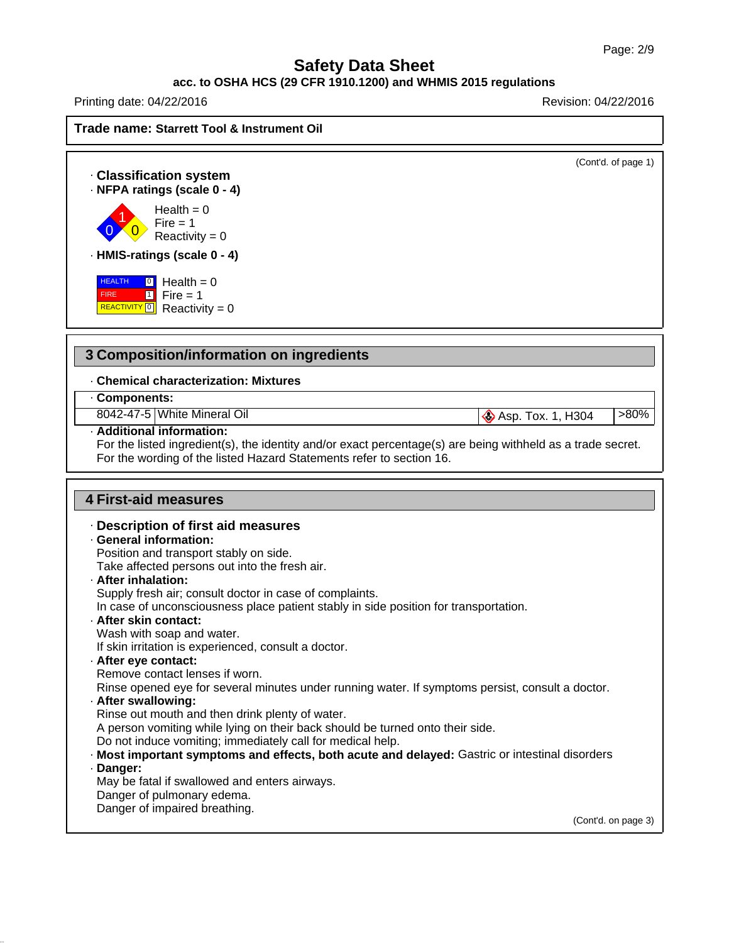#### **acc. to OSHA HCS (29 CFR 1910.1200) and WHMIS 2015 regulations**

Printing date: 04/22/2016 **Revision: 04/22/2016** 

| Trade name: Starrett Tool & Instrument Oil                                                                                                                                                                         |                                     |
|--------------------------------------------------------------------------------------------------------------------------------------------------------------------------------------------------------------------|-------------------------------------|
| <b>Classification system</b><br>- NFPA ratings (scale 0 - 4)                                                                                                                                                       | (Cont'd. of page 1)                 |
| Health = $0$<br>$Fire = 1$<br>Reactivity = $0$                                                                                                                                                                     |                                     |
| · HMIS-ratings (scale 0 - 4)                                                                                                                                                                                       |                                     |
| <b>HEALTH</b><br>$\boxed{0}$ Health = 0<br>$\boxed{1}$ Fire = 1<br><b>FIRE</b><br>REACTIVITY <sup>[0]</sup><br>Reactivity = $0$                                                                                    |                                     |
| 3 Composition/information on ingredients                                                                                                                                                                           |                                     |
| <b>Chemical characterization: Mixtures</b>                                                                                                                                                                         |                                     |
| Components:                                                                                                                                                                                                        |                                     |
| 8042-47-5 White Mineral Oil                                                                                                                                                                                        | $>80\%$<br><b>Asp. Tox. 1, H304</b> |
| · Additional information:                                                                                                                                                                                          |                                     |
|                                                                                                                                                                                                                    |                                     |
|                                                                                                                                                                                                                    |                                     |
| For the listed ingredient(s), the identity and/or exact percentage(s) are being withheld as a trade secret.<br>For the wording of the listed Hazard Statements refer to section 16.<br><b>4 First-aid measures</b> |                                     |
|                                                                                                                                                                                                                    |                                     |
| · Description of first aid measures                                                                                                                                                                                |                                     |
| · General information:                                                                                                                                                                                             |                                     |
| Position and transport stably on side.                                                                                                                                                                             |                                     |
| Take affected persons out into the fresh air.<br>· After inhalation:                                                                                                                                               |                                     |
| Supply fresh air; consult doctor in case of complaints.                                                                                                                                                            |                                     |
| In case of unconsciousness place patient stably in side position for transportation.                                                                                                                               |                                     |
| · After skin contact:                                                                                                                                                                                              |                                     |
| Wash with soap and water.                                                                                                                                                                                          |                                     |
| If skin irritation is experienced, consult a doctor.                                                                                                                                                               |                                     |
| - After eye contact:                                                                                                                                                                                               |                                     |
| Remove contact lenses if worn.                                                                                                                                                                                     |                                     |
| Rinse opened eye for several minutes under running water. If symptoms persist, consult a doctor.                                                                                                                   |                                     |
| - After swallowing:                                                                                                                                                                                                |                                     |
| Rinse out mouth and then drink plenty of water.                                                                                                                                                                    |                                     |
| A person vomiting while lying on their back should be turned onto their side.<br>Do not induce vomiting; immediately call for medical help.                                                                        |                                     |
| · Most important symptoms and effects, both acute and delayed: Gastric or intestinal disorders                                                                                                                     |                                     |
| · Danger:                                                                                                                                                                                                          |                                     |
| May be fatal if swallowed and enters airways.                                                                                                                                                                      |                                     |
| Danger of pulmonary edema.                                                                                                                                                                                         |                                     |
| Danger of impaired breathing.                                                                                                                                                                                      | (Cont'd. on page 3)                 |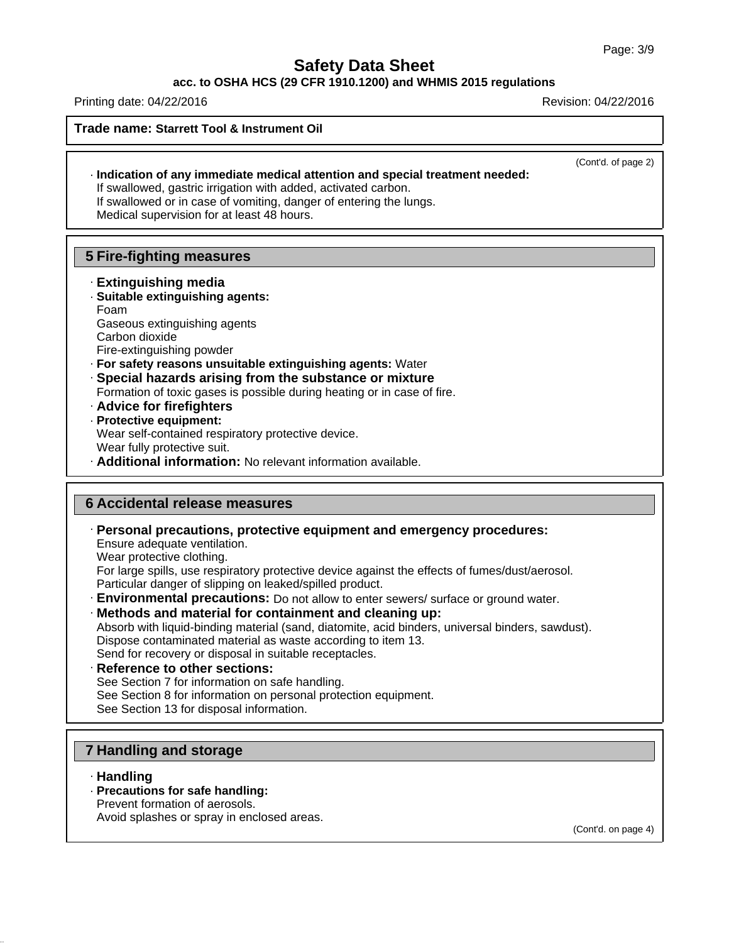#### **acc. to OSHA HCS (29 CFR 1910.1200) and WHMIS 2015 regulations**

Printing date: 04/22/2016 **Revision: 04/22/2016** Revision: 04/22/2016

**Trade name: Starrett Tool & Instrument Oil**

(Cont'd. of page 2)

· **Indication of any immediate medical attention and special treatment needed:** If swallowed, gastric irrigation with added, activated carbon. If swallowed or in case of vomiting, danger of entering the lungs.

Medical supervision for at least 48 hours.

### **5 Fire-fighting measures**

- · **Extinguishing media** · **Suitable extinguishing agents:**
- Foam Gaseous extinguishing agents Carbon dioxide Fire-extinguishing powder
- · **For safety reasons unsuitable extinguishing agents:** Water
- · **Special hazards arising from the substance or mixture** Formation of toxic gases is possible during heating or in case of fire.
- · **Advice for firefighters**
- · **Protective equipment:** Wear self-contained respiratory protective device. Wear fully protective suit. · **Additional information:** No relevant information available.

### **6 Accidental release measures**

· **Personal precautions, protective equipment and emergency procedures:** Ensure adequate ventilation. Wear protective clothing. For large spills, use respiratory protective device against the effects of fumes/dust/aerosol.

Particular danger of slipping on leaked/spilled product.

- · **Environmental precautions:** Do not allow to enter sewers/ surface or ground water.
- · **Methods and material for containment and cleaning up:** Absorb with liquid-binding material (sand, diatomite, acid binders, universal binders, sawdust). Dispose contaminated material as waste according to item 13. Send for recovery or disposal in suitable receptacles.
- · **Reference to other sections:** See Section 7 for information on safe handling. See Section 8 for information on personal protection equipment. See Section 13 for disposal information.

## **7 Handling and storage**

- · **Handling**
- · **Precautions for safe handling:**
- Prevent formation of aerosols.

Avoid splashes or spray in enclosed areas.

(Cont'd. on page 4)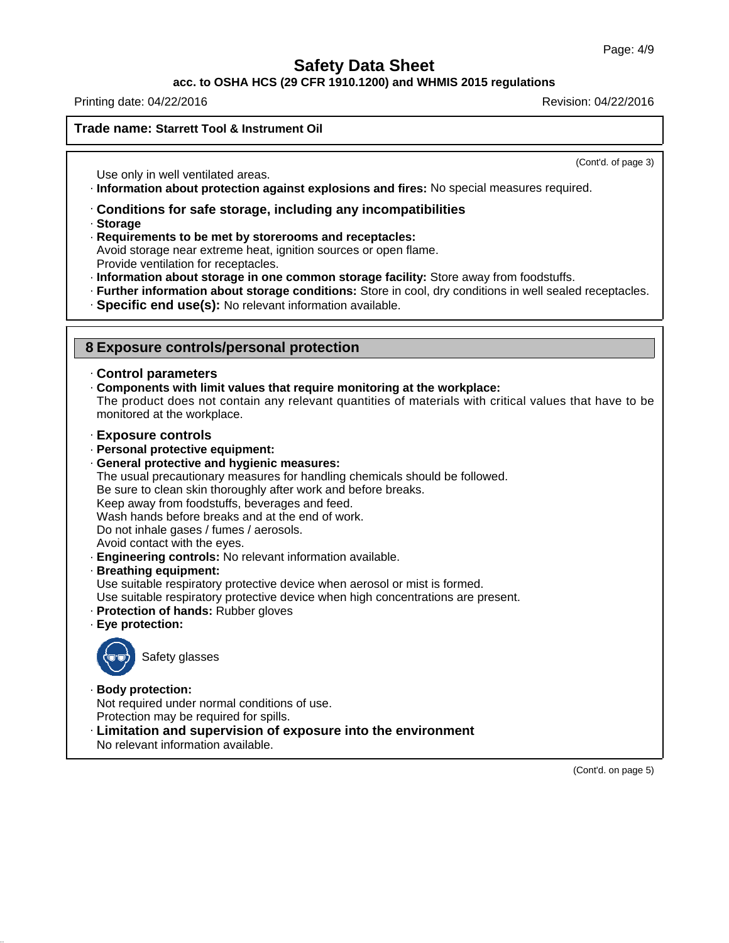**acc. to OSHA HCS (29 CFR 1910.1200) and WHMIS 2015 regulations**

Printing date: 04/22/2016 **Revision: 04/22/2016** Revision: 04/22/2016

**Trade name: Starrett Tool & Instrument Oil**

(Cont'd. of page 3)

Use only in well ventilated areas.

· **Information about protection against explosions and fires:** No special measures required.

- · **Conditions for safe storage, including any incompatibilities**
- · **Storage**
- · **Requirements to be met by storerooms and receptacles:** Avoid storage near extreme heat, ignition sources or open flame. Provide ventilation for receptacles.
- · **Information about storage in one common storage facility:** Store away from foodstuffs.
- · **Further information about storage conditions:** Store in cool, dry conditions in well sealed receptacles.
- · **Specific end use(s):** No relevant information available.

| 8 Exposure controls/personal protection |  |  |
|-----------------------------------------|--|--|
|-----------------------------------------|--|--|

### · **Control parameters**

· **Components with limit values that require monitoring at the workplace:**

The product does not contain any relevant quantities of materials with critical values that have to be monitored at the workplace.

- · **Exposure controls**
- · **Personal protective equipment:**
- · **General protective and hygienic measures:**

The usual precautionary measures for handling chemicals should be followed.

Be sure to clean skin thoroughly after work and before breaks.

Keep away from foodstuffs, beverages and feed.

Wash hands before breaks and at the end of work.

Do not inhale gases / fumes / aerosols.

Avoid contact with the eyes.

- · **Engineering controls:** No relevant information available.
- · **Breathing equipment:**

Use suitable respiratory protective device when aerosol or mist is formed.

Use suitable respiratory protective device when high concentrations are present.

- · **Protection of hands:** Rubber gloves
- · **Eye protection:**



· **Body protection:**

Not required under normal conditions of use. Protection may be required for spills.

· **Limitation and supervision of exposure into the environment**

No relevant information available.

(Cont'd. on page 5)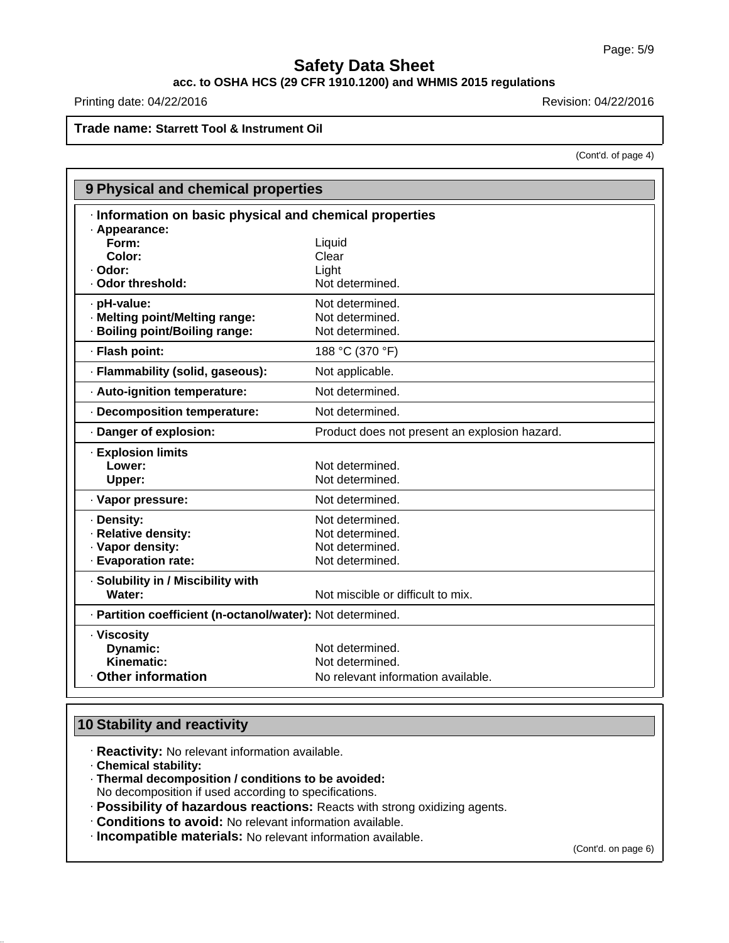## **acc. to OSHA HCS (29 CFR 1910.1200) and WHMIS 2015 regulations**

Printing date: 04/22/2016 **Revision: 04/22/2016** Revision: 04/22/2016

### **Trade name: Starrett Tool & Instrument Oil**

(Cont'd. of page 4)

| · Information on basic physical and chemical properties<br>· Appearance:<br>Form:<br>Liquid<br>Color:<br>Clear<br>- Odor:<br>Light<br>Not determined.<br>· Odor threshold:<br>Not determined.<br>· pH-value:<br>· Melting point/Melting range:<br>Not determined.<br>· Boiling point/Boiling range:<br>Not determined.<br>· Flash point:<br>188 °C (370 °F)<br>· Flammability (solid, gaseous):<br>Not applicable.<br>Not determined.<br>· Auto-ignition temperature:<br>· Decomposition temperature:<br>Not determined.<br>· Danger of explosion:<br>Product does not present an explosion hazard.<br><b>Explosion limits</b><br>Lower:<br>Not determined.<br>Not determined.<br>Upper:<br>· Vapor pressure:<br>Not determined.<br>Not determined.<br>· Density:<br>· Relative density:<br>Not determined.<br>· Vapor density:<br>Not determined.<br>· Evaporation rate:<br>Not determined.<br>· Solubility in / Miscibility with | 9 Physical and chemical properties |                                   |  |  |  |  |
|------------------------------------------------------------------------------------------------------------------------------------------------------------------------------------------------------------------------------------------------------------------------------------------------------------------------------------------------------------------------------------------------------------------------------------------------------------------------------------------------------------------------------------------------------------------------------------------------------------------------------------------------------------------------------------------------------------------------------------------------------------------------------------------------------------------------------------------------------------------------------------------------------------------------------------|------------------------------------|-----------------------------------|--|--|--|--|
|                                                                                                                                                                                                                                                                                                                                                                                                                                                                                                                                                                                                                                                                                                                                                                                                                                                                                                                                    |                                    |                                   |  |  |  |  |
|                                                                                                                                                                                                                                                                                                                                                                                                                                                                                                                                                                                                                                                                                                                                                                                                                                                                                                                                    |                                    |                                   |  |  |  |  |
|                                                                                                                                                                                                                                                                                                                                                                                                                                                                                                                                                                                                                                                                                                                                                                                                                                                                                                                                    |                                    |                                   |  |  |  |  |
|                                                                                                                                                                                                                                                                                                                                                                                                                                                                                                                                                                                                                                                                                                                                                                                                                                                                                                                                    |                                    |                                   |  |  |  |  |
|                                                                                                                                                                                                                                                                                                                                                                                                                                                                                                                                                                                                                                                                                                                                                                                                                                                                                                                                    |                                    |                                   |  |  |  |  |
|                                                                                                                                                                                                                                                                                                                                                                                                                                                                                                                                                                                                                                                                                                                                                                                                                                                                                                                                    |                                    |                                   |  |  |  |  |
|                                                                                                                                                                                                                                                                                                                                                                                                                                                                                                                                                                                                                                                                                                                                                                                                                                                                                                                                    |                                    |                                   |  |  |  |  |
|                                                                                                                                                                                                                                                                                                                                                                                                                                                                                                                                                                                                                                                                                                                                                                                                                                                                                                                                    |                                    |                                   |  |  |  |  |
|                                                                                                                                                                                                                                                                                                                                                                                                                                                                                                                                                                                                                                                                                                                                                                                                                                                                                                                                    |                                    |                                   |  |  |  |  |
|                                                                                                                                                                                                                                                                                                                                                                                                                                                                                                                                                                                                                                                                                                                                                                                                                                                                                                                                    |                                    |                                   |  |  |  |  |
|                                                                                                                                                                                                                                                                                                                                                                                                                                                                                                                                                                                                                                                                                                                                                                                                                                                                                                                                    |                                    |                                   |  |  |  |  |
|                                                                                                                                                                                                                                                                                                                                                                                                                                                                                                                                                                                                                                                                                                                                                                                                                                                                                                                                    |                                    |                                   |  |  |  |  |
|                                                                                                                                                                                                                                                                                                                                                                                                                                                                                                                                                                                                                                                                                                                                                                                                                                                                                                                                    |                                    |                                   |  |  |  |  |
|                                                                                                                                                                                                                                                                                                                                                                                                                                                                                                                                                                                                                                                                                                                                                                                                                                                                                                                                    |                                    |                                   |  |  |  |  |
|                                                                                                                                                                                                                                                                                                                                                                                                                                                                                                                                                                                                                                                                                                                                                                                                                                                                                                                                    |                                    |                                   |  |  |  |  |
|                                                                                                                                                                                                                                                                                                                                                                                                                                                                                                                                                                                                                                                                                                                                                                                                                                                                                                                                    |                                    |                                   |  |  |  |  |
|                                                                                                                                                                                                                                                                                                                                                                                                                                                                                                                                                                                                                                                                                                                                                                                                                                                                                                                                    |                                    |                                   |  |  |  |  |
|                                                                                                                                                                                                                                                                                                                                                                                                                                                                                                                                                                                                                                                                                                                                                                                                                                                                                                                                    |                                    |                                   |  |  |  |  |
|                                                                                                                                                                                                                                                                                                                                                                                                                                                                                                                                                                                                                                                                                                                                                                                                                                                                                                                                    |                                    |                                   |  |  |  |  |
|                                                                                                                                                                                                                                                                                                                                                                                                                                                                                                                                                                                                                                                                                                                                                                                                                                                                                                                                    |                                    |                                   |  |  |  |  |
|                                                                                                                                                                                                                                                                                                                                                                                                                                                                                                                                                                                                                                                                                                                                                                                                                                                                                                                                    |                                    |                                   |  |  |  |  |
|                                                                                                                                                                                                                                                                                                                                                                                                                                                                                                                                                                                                                                                                                                                                                                                                                                                                                                                                    |                                    |                                   |  |  |  |  |
|                                                                                                                                                                                                                                                                                                                                                                                                                                                                                                                                                                                                                                                                                                                                                                                                                                                                                                                                    |                                    |                                   |  |  |  |  |
|                                                                                                                                                                                                                                                                                                                                                                                                                                                                                                                                                                                                                                                                                                                                                                                                                                                                                                                                    | Water:                             | Not miscible or difficult to mix. |  |  |  |  |
| · Partition coefficient (n-octanol/water): Not determined.                                                                                                                                                                                                                                                                                                                                                                                                                                                                                                                                                                                                                                                                                                                                                                                                                                                                         |                                    |                                   |  |  |  |  |
| · Viscosity                                                                                                                                                                                                                                                                                                                                                                                                                                                                                                                                                                                                                                                                                                                                                                                                                                                                                                                        |                                    |                                   |  |  |  |  |
| Not determined.<br><b>Dynamic:</b>                                                                                                                                                                                                                                                                                                                                                                                                                                                                                                                                                                                                                                                                                                                                                                                                                                                                                                 |                                    |                                   |  |  |  |  |
| Kinematic:<br>Not determined.                                                                                                                                                                                                                                                                                                                                                                                                                                                                                                                                                                                                                                                                                                                                                                                                                                                                                                      |                                    |                                   |  |  |  |  |
| Other information<br>No relevant information available.                                                                                                                                                                                                                                                                                                                                                                                                                                                                                                                                                                                                                                                                                                                                                                                                                                                                            |                                    |                                   |  |  |  |  |

## **10 Stability and reactivity**

· **Reactivity:** No relevant information available.

· **Chemical stability:**

· **Thermal decomposition / conditions to be avoided:**

No decomposition if used according to specifications.

- · **Possibility of hazardous reactions:** Reacts with strong oxidizing agents.
- · **Conditions to avoid:** No relevant information available.
- · **Incompatible materials:** No relevant information available.

(Cont'd. on page 6)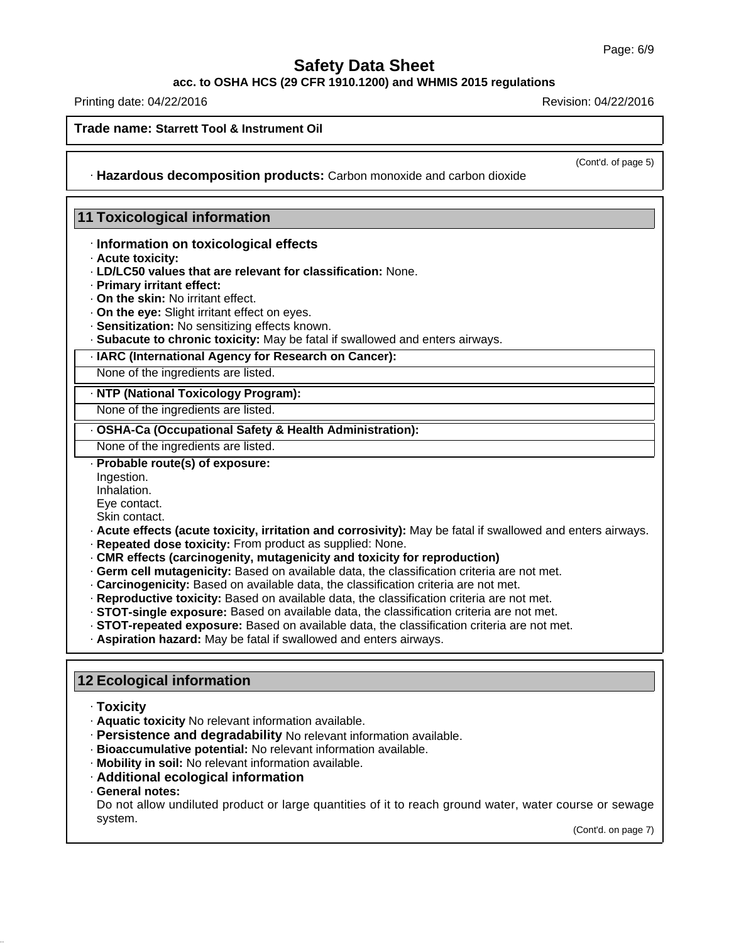**acc. to OSHA HCS (29 CFR 1910.1200) and WHMIS 2015 regulations**

Printing date: 04/22/2016 **Revision: 04/22/2016** Revision: 04/22/2016

### **Trade name: Starrett Tool & Instrument Oil**

(Cont'd. of page 5)

· **Hazardous decomposition products:** Carbon monoxide and carbon dioxide

### **11 Toxicological information**

#### · **Information on toxicological effects**

- · **Acute toxicity:**
- · **LD/LC50 values that are relevant for classification:** None.
- · **Primary irritant effect:**
- · **On the skin:** No irritant effect.
- · **On the eye:** Slight irritant effect on eyes.
- · **Sensitization:** No sensitizing effects known.
- · **Subacute to chronic toxicity:** May be fatal if swallowed and enters airways.

### · **IARC (International Agency for Research on Cancer):**

None of the ingredients are listed.

#### · **NTP (National Toxicology Program):**

None of the ingredients are listed.

· **OSHA-Ca (Occupational Safety & Health Administration):**

None of the ingredients are listed.

· **Probable route(s) of exposure:**

Ingestion.

Inhalation.

Eye contact.

Skin contact.

- · **Acute effects (acute toxicity, irritation and corrosivity):** May be fatal if swallowed and enters airways.
- · **Repeated dose toxicity:** From product as supplied: None.
- · **CMR effects (carcinogenity, mutagenicity and toxicity for reproduction)**
- · **Germ cell mutagenicity:** Based on available data, the classification criteria are not met.
- · **Carcinogenicity:** Based on available data, the classification criteria are not met.
- · **Reproductive toxicity:** Based on available data, the classification criteria are not met.
- · **STOT-single exposure:** Based on available data, the classification criteria are not met.
- · **STOT-repeated exposure:** Based on available data, the classification criteria are not met.
- · **Aspiration hazard:** May be fatal if swallowed and enters airways.

### **12 Ecological information**

- · **Toxicity**
- · **Aquatic toxicity** No relevant information available.
- · **Persistence and degradability** No relevant information available.
- · **Bioaccumulative potential:** No relevant information available.
- · **Mobility in soil:** No relevant information available.
- · **Additional ecological information**
- · **General notes:**

Do not allow undiluted product or large quantities of it to reach ground water, water course or sewage system.

(Cont'd. on page 7)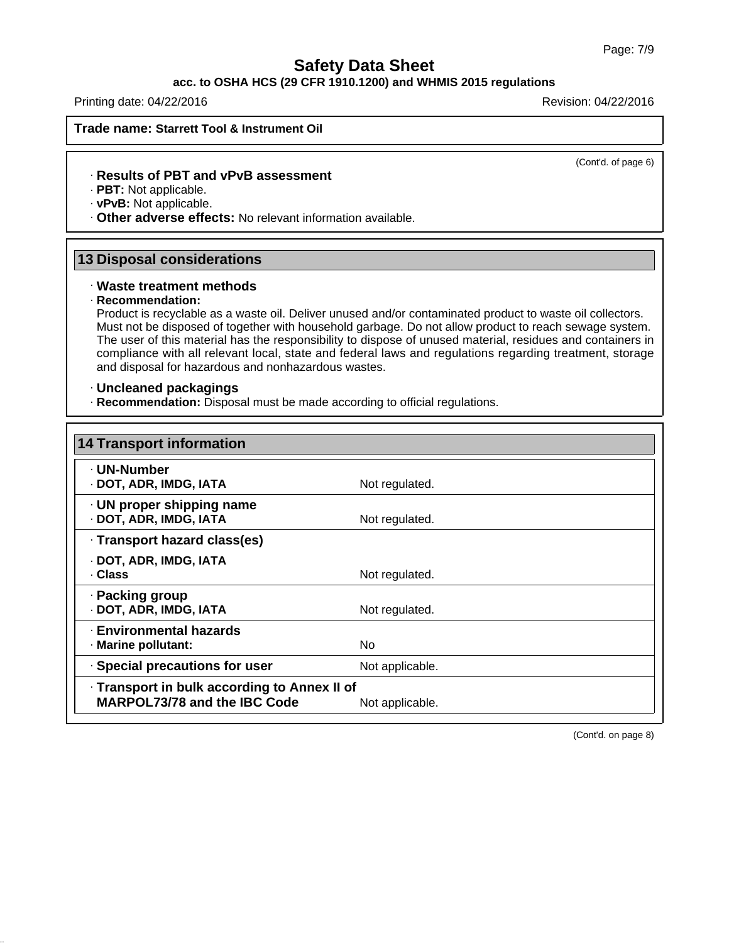#### **acc. to OSHA HCS (29 CFR 1910.1200) and WHMIS 2015 regulations**

Printing date: 04/22/2016 **Revision: 04/22/2016** Revision: 04/22/2016

**Trade name: Starrett Tool & Instrument Oil**

(Cont'd. of page 6)

#### · **Results of PBT and vPvB assessment**

· **PBT:** Not applicable.

· **vPvB:** Not applicable.

· **Other adverse effects:** No relevant information available.

### **13 Disposal considerations**

#### · **Waste treatment methods**

#### · **Recommendation:**

Product is recyclable as a waste oil. Deliver unused and/or contaminated product to waste oil collectors. Must not be disposed of together with household garbage. Do not allow product to reach sewage system. The user of this material has the responsibility to dispose of unused material, residues and containers in compliance with all relevant local, state and federal laws and regulations regarding treatment, storage and disposal for hazardous and nonhazardous wastes.

#### · **Uncleaned packagings**

· **Recommendation:** Disposal must be made according to official regulations.

| <b>14 Transport information</b>                                                     |                 |  |
|-------------------------------------------------------------------------------------|-----------------|--|
| · UN-Number<br>· DOT, ADR, IMDG, IATA                                               | Not regulated.  |  |
| $\cdot$ UN proper shipping name<br>· DOT, ADR, IMDG, IATA                           | Not regulated.  |  |
| · Transport hazard class(es)                                                        |                 |  |
| · DOT, ADR, IMDG, IATA<br>. Class                                                   | Not regulated.  |  |
| · Packing group<br>· DOT, ADR, IMDG, IATA                                           | Not regulated.  |  |
| · Environmental hazards<br>· Marine pollutant:                                      | No.             |  |
| · Special precautions for user                                                      | Not applicable. |  |
| . Transport in bulk according to Annex II of<br><b>MARPOL73/78 and the IBC Code</b> | Not applicable. |  |

(Cont'd. on page 8)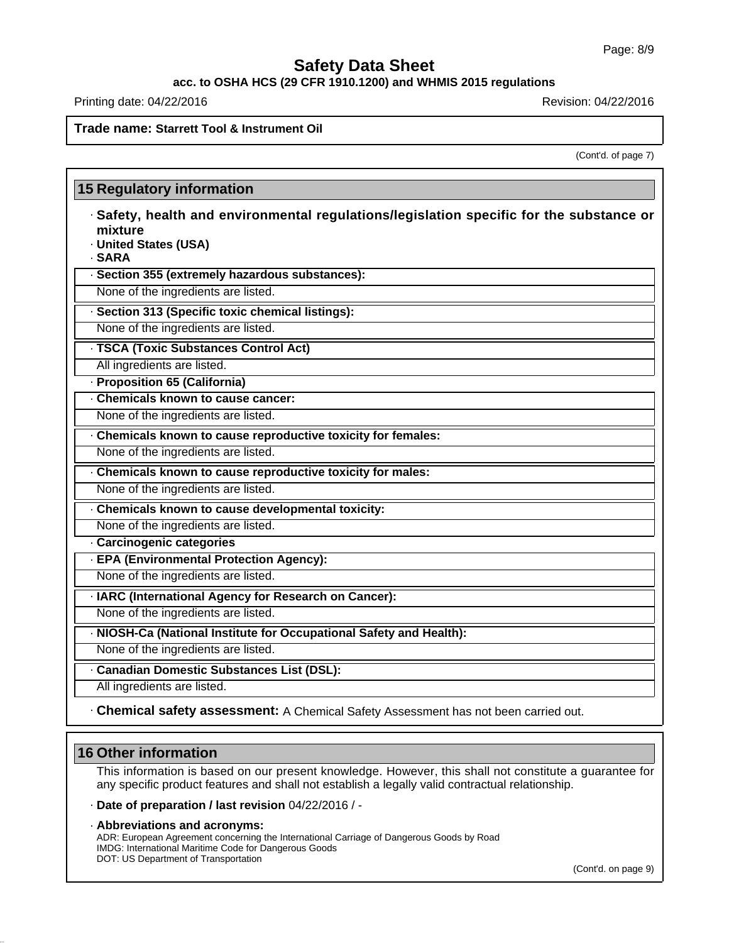**acc. to OSHA HCS (29 CFR 1910.1200) and WHMIS 2015 regulations**

Printing date: 04/22/2016 **Revision: 04/22/2016** Revision: 04/22/2016

### **Trade name: Starrett Tool & Instrument Oil**

(Cont'd. of page 7)

# **15 Regulatory information** · **Safety, health and environmental regulations/legislation specific for the substance or mixture** · **United States (USA)** · **SARA** · **Section 355 (extremely hazardous substances):** None of the ingredients are listed. · **Section 313 (Specific toxic chemical listings):** None of the ingredients are listed. · **TSCA (Toxic Substances Control Act)** All ingredients are listed. · **Proposition 65 (California)** · **Chemicals known to cause cancer:** None of the ingredients are listed. · **Chemicals known to cause reproductive toxicity for females:** None of the ingredients are listed. · **Chemicals known to cause reproductive toxicity for males:** None of the ingredients are listed. · **Chemicals known to cause developmental toxicity:** None of the ingredients are listed. · **Carcinogenic categories** · **EPA (Environmental Protection Agency):** None of the ingredients are listed. · **IARC (International Agency for Research on Cancer):** None of the ingredients are listed. · **NIOSH-Ca (National Institute for Occupational Safety and Health):** None of the ingredients are listed. · **Canadian Domestic Substances List (DSL):** All ingredients are listed. · **Chemical safety assessment:** A Chemical Safety Assessment has not been carried out.

## **16 Other information**

This information is based on our present knowledge. However, this shall not constitute a guarantee for any specific product features and shall not establish a legally valid contractual relationship.

#### · **Date of preparation / last revision** 04/22/2016 / -

· **Abbreviations and acronyms:** ADR: European Agreement concerning the International Carriage of Dangerous Goods by Road IMDG: International Maritime Code for Dangerous Goods DOT: US Department of Transportation

(Cont'd. on page 9)